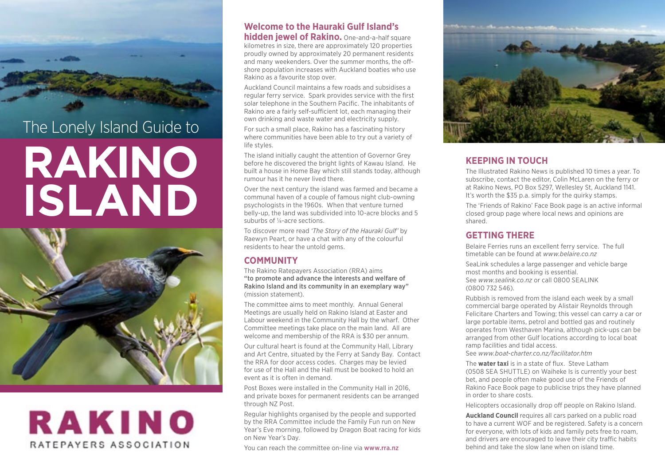

# The Lonely Island Guide to **RAKINO ISLAND**



# **RAKINO** RATEPAYERS ASSOCIATION

# **Welcome to the Hauraki Gulf Island's**

**hidden jewel of Rakino.** One-and-a-half square kilometres in size, there are approximately 120 properties proudly owned by approximately 20 permanent residents and many weekenders. Over the summer months, the offshore population increases with Auckland boaties who use Rakino as a favourite stop over.

Auckland Council maintains a few roads and subsidises a regular ferry service. Spark provides service with the first solar telephone in the Southern Pacific. The inhabitants of Rakino are a fairly self-sufficient lot, each managing their own drinking and waste water and electricity supply.

For such a small place, Rakino has a fascinating history where communities have been able to try out a variety of life styles.

The island initially caught the attention of Governor Grey before he discovered the bright lights of Kawau Island. He built a house in Home Bay which still stands today, although rumour has it he never lived there.

Over the next century the island was farmed and became a communal haven of a couple of famous night club-owning psychologists in the 1960s. When that venture turned belly-up, the land was subdivided into 10-acre blocks and 5 suburbs of ¼-acre sections.

To discover more read *'The Story of the Hauraki Gulf'* by Raewyn Peart, or have a chat with any of the colourful residents to hear the untold gems.

# **COMMUNITY**

The Rakino Ratepayers Association (RRA) aims "to promote and advance the interests and welfare of Rakino Island and its community in an exemplary way" (mission statement).

The committee aims to meet monthly. Annual General Meetings are usually held on Rakino Island at Easter and Labour weekend in the Community Hall by the wharf. Other Committee meetings take place on the main land. All are welcome and membership of the RRA is \$30 per annum.

Our cultural heart is found at the Community Hall, Library and Art Centre, situated by the Ferry at Sandy Bay. Contact the RRA for door access codes. Charges may be levied for use of the Hall and the Hall must be booked to hold an event as it is often in demand.

Post Boxes were installed in the Community Hall in 2016, and private boxes for permanent residents can be arranged through NZ Post.

Regular highlights organised by the people and supported by the RRA Committee include the Family Fun run on New Year's Eve morning, followed by Dragon Boat racing for kids on New Year's Day.

You can reach the committee on-line via [www.rra.nz](http://www.rra.nz)



# **KEEPING IN TOUCH**

The Illustrated Rakino News is published 10 times a year. To subscribe, contact the editor, Colin McLaren on the ferry or at Rakino News, PO Box 5297, Wellesley St, Auckland 1141. It's worth the \$35 p.a. simply for the quirky stamps.

The 'Friends of Rakino' Face Book page is an active informal closed group page where local news and opinions are shared.

# **GETTING THERE**

Belaire Ferries runs an excellent ferry service. The full timetable can be found at *[www.belaire.co.nz](http://www.belaire.co.nz)*

SeaLink schedules a large passenger and vehicle barge most months and booking is essential. See *[www.sealink.co.nz](http://www.sealink.co.nz)* or call 0800 SEALINK (0800 732 546).

Rubbish is removed from the island each week by a small commercial barge operated by Alistair Reynolds through Felicitare Charters and Towing; this vessel can carry a car or large portable items, petrol and bottled gas and routinely operates from Westhaven Marina, although pick-ups can be arranged from other Gulf locations according to local boat ramp facilities and tidal access.

See *[www.boat-charter.co.nz/facilitator.htm](http://www.boat-charter.co.nz/facilitator.htm)*

The **water taxi** is in a state of flux. Steve Latham (0508 SEA SHUTTLE) on Waiheke Is is currently your best bet, and people often make good use of the Friends of Rakino Face Book page to publicise trips they have planned in order to share costs.

Helicopters occasionally drop off people on Rakino Island.

**Auckland Council** requires all cars parked on a public road to have a current WOF and be registered. Safety is a concern for everyone, with lots of kids and family pets free to roam, and drivers are encouraged to leave their city traffic habits behind and take the slow lane when on island time.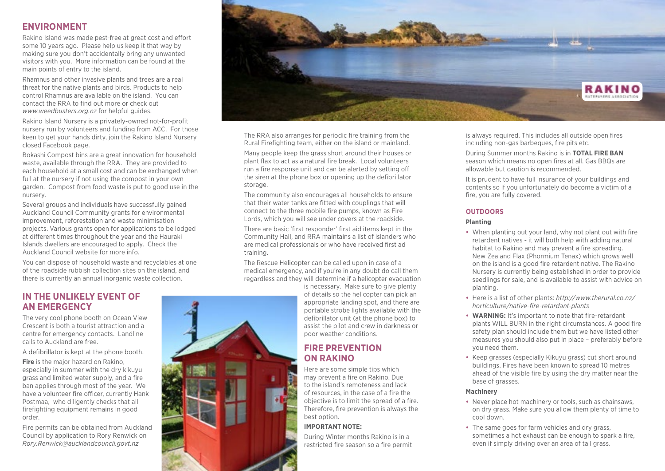# **ENVIRONMENT**

Rakino Island was made pest-free at great cost and effort some 10 years ago. Please help us keep it that way by making sure you don't accidentally bring any unwanted visitors with you. More information can be found at the main points of entry to the island.

Rhamnus and other invasive plants and trees are a real threat for the native plants and birds. Products to help control Rhamnus are available on the island. You can contact the RRA to find out more or check out *[www.weedbusters.org.nz](http://www.weedbusters.org.nz)* for helpful guides.

Rakino Island Nursery is a privately-owned not-for-profit nursery run by volunteers and funding from ACC. For those keen to get your hands dirty, join the Rakino Island Nursery closed Facebook page.

Bokashi Compost bins are a great innovation for household waste, available through the RRA. They are provided to each household at a small cost and can be exchanged when full at the nursery if not using the compost in your own garden. Compost from food waste is put to good use in the nursery.

Several groups and individuals have successfully gained Auckland Council Community grants for environmental improvement, reforestation and waste minimisation projects. Various grants open for applications to be lodged at different times throughout the year and the Hauraki Islands dwellers are encouraged to apply. Check the Auckland Council website for more info.

You can dispose of household waste and recyclables at one of the roadside rubbish collection sites on the island, and there is currently an annual inorganic waste collection.

### **IN THE UNLIKELY EVENT OF AN EMERGENCY**

The very cool phone booth on Ocean View Crescent is both a tourist attraction and a centre for emergency contacts. Landline calls to Auckland are free.

A defibrillator is kept at the phone booth.

**Fire** is the major hazard on Rakino, especially in summer with the dry kikuyu grass and limited water supply, and a fire ban applies through most of the year. We have a volunteer fire officer, currently Hank Postmaa, who diligently checks that all firefighting equipment remains in good order.

Fire permits can be obtained from Auckland Council by application to Rory Renwick on *[Rory.Renwick@aucklandcouncil.govt.nz](mailto:Rory.Renwick@aucklandcouncil.govt.nz)* 



The RRA also arranges for periodic fire training from the Rural Firefighting team, either on the island or mainland.

Many people keep the grass short around their houses or plant flax to act as a natural fire break. Local volunteers run a fire response unit and can be alerted by setting off the siren at the phone box or opening up the defibrillator storage.

The community also encourages all households to ensure that their water tanks are fitted with couplings that will connect to the three mobile fire pumps, known as Fire Lords, which you will see under covers at the roadside.

There are basic 'first responder' first aid items kept in the Community Hall, and RRA maintains a list of islanders who are medical professionals or who have received first ad training.

The Rescue Helicopter can be called upon in case of a medical emergency, and if you're in any doubt do call them regardless and they will determine if a helicopter evacuation

> is necessary. Make sure to give plenty of details so the helicopter can pick an appropriate landing spot, and there are portable strobe lights available with the defibrillator unit (at the phone box) to assist the pilot and crew in darkness or poor weather conditions.

# **FIRE PREVENTION ON RAKINO**

Here are some simple tips which may prevent a fire on Rakino. Due to the island's remoteness and lack of resources, in the case of a fire the objective is to limit the spread of a fire. Therefore, fire prevention is always the best option.

#### **IMPORTANT NOTE:**

During Winter months Rakino is in a restricted fire season so a fire permit is always required. This includes all outside open fires including non-gas barbeques, fire pits etc.

During Summer months Rakino is in **TOTAL FIRE BAN** season which means no open fires at all. Gas BBQs are allowable but caution is recommended.

It is prudent to have full insurance of your buildings and contents so if you unfortunately do become a victim of a fire, you are fully covered.

#### **OUTDOORS**

#### **Planting**

- **•** When planting out your land, why not plant out with fire retardent natives - it will both help with adding natural habitat to Rakino and may prevent a fire spreading. New Zealand Flax (Phormium Tenax) which grows well on the island is a good fire retardent native. The Rakino Nursery is currently being established in order to provide seedlings for sale, and is available to assist with advice on planting.
- **•** Here is a list of other plants: *[http://www.therural.co.nz/](http://www.therural.co.nz/horticulture/native-fire-retardant-plants) [horticulture/native-fire-retardant-plants](http://www.therural.co.nz/horticulture/native-fire-retardant-plants)*
- **• WARNING:** It's important to note that fire-retardant plants WILL BURN in the right circumstances. A good fire safety plan should include them but we have listed other measures you should also put in place – preferably before you need them.
- **•** Keep grasses (especially Kikuyu grass) cut short around buildings. Fires have been known to spread 10 metres ahead of the visible fire by using the dry matter near the base of grasses.

#### **Machinery**

- **•** Never place hot machinery or tools, such as chainsaws, on dry grass. Make sure you allow them plenty of time to cool down.
- **•** The same goes for farm vehicles and dry grass, sometimes a hot exhaust can be enough to spark a fire, even if simply driving over an area of tall grass.

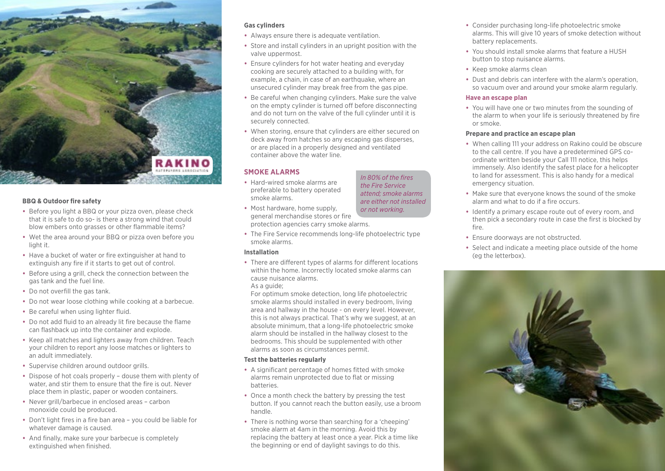

#### **BBQ & Outdoor fire safety**

- **•** Before you light a BBQ or your pizza oven, please check that it is safe to do so- is there a strong wind that could blow embers onto grasses or other flammable items?
- **•** Wet the area around your BBQ or pizza oven before you light it.
- **•** Have a bucket of water or fire extinguisher at hand to extinguish any fire if it starts to get out of control.
- **•** Before using a grill, check the connection between the gas tank and the fuel line.
- **•** Do not overfill the gas tank.
- **•** Do not wear loose clothing while cooking at a barbecue.
- **•** Be careful when using lighter fluid.
- **•** Do not add fluid to an already lit fire because the flame can flashback up into the container and explode.
- **•** Keep all matches and lighters away from children. Teach your children to report any loose matches or lighters to an adult immediately.
- **•** Supervise children around outdoor grills.
- **•** Dispose of hot coals properly douse them with plenty of water, and stir them to ensure that the fire is out. Never place them in plastic, paper or wooden containers.
- **•** Never grill/barbecue in enclosed areas carbon monoxide could be produced.
- **•** Don't light fires in a fire ban area you could be liable for whatever damage is caused.
- **•** And finally, make sure your barbecue is completely extinguished when finished.

#### **Gas cylinders**

- **•** Always ensure there is adequate ventilation.
- **•** Store and install cylinders in an upright position with the valve uppermost.
- **•** Ensure cylinders for hot water heating and everyday cooking are securely attached to a building with, for example, a chain, in case of an earthquake, where an unsecured cylinder may break free from the gas pipe.
- **•** Be careful when changing cylinders. Make sure the valve on the empty cylinder is turned off before disconnecting and do not turn on the valve of the full cylinder until it is securely connected.
- **•** When storing, ensure that cylinders are either secured on deck away from hatches so any escaping gas disperses, or are placed in a properly designed and ventilated container above the water line.

*In 80% of the fires the Fire Service attend; smoke alarms are either not installed* 

#### **SMOKE ALARMS**

- **•** Hard-wired smoke alarms are preferable to battery operated smoke alarms.
- **•** Most hardware, home supply, general merchandise stores or fire protection agencies carry smoke alarms. *or not working.*
- **•** The Fire Service recommends long-life photoelectric type smoke alarms.

#### **Installation**

**•** There are different types of alarms for different locations within the home. Incorrectly located smoke alarms can cause nuisance alarms.

#### As a guide:

For optimum smoke detection, long life photoelectric smoke alarms should installed in every bedroom, living area and hallway in the house - on every level. However, this is not always practical. That's why we suggest, at an absolute minimum, that a long-life photoelectric smoke alarm should be installed in the hallway closest to the bedrooms. This should be supplemented with other alarms as soon as circumstances permit.

#### **Test the batteries regularly**

- **•** A significant percentage of homes fitted with smoke alarms remain unprotected due to flat or missing batteries.
- **•** Once a month check the battery by pressing the test button. If you cannot reach the button easily, use a broom handle.
- **•** There is nothing worse than searching for a 'cheeping' smoke alarm at 4am in the morning. Avoid this by replacing the battery at least once a year. Pick a time like the beginning or end of daylight savings to do this.
- **•** Consider purchasing long-life photoelectric smoke alarms. This will give 10 years of smoke detection without battery replacements.
- **•** You should install smoke alarms that feature a HUSH button to stop nuisance alarms.
- **•** Keep smoke alarms clean
- **•** Dust and debris can interfere with the alarm's operation, so vacuum over and around your smoke alarm regularly.

#### **Have an escape plan**

**•** You will have one or two minutes from the sounding of the alarm to when your life is seriously threatened by fire or smoke.

#### **Prepare and practice an escape plan**

- **•** When calling 111 your address on Rakino could be obscure to the call centre. If you have a predetermined GPS coordinate written beside your Call 111 notice, this helps immensely. Also identify the safest place for a helicopter to land for assessment. This is also handy for a medical emergency situation.
- **•** Make sure that everyone knows the sound of the smoke alarm and what to do if a fire occurs.
- **•** Identify a primary escape route out of every room, and then pick a secondary route in case the first is blocked by fire.
- **•** Ensure doorways are not obstructed.
- **•** Select and indicate a meeting place outside of the home (eg the letterbox).